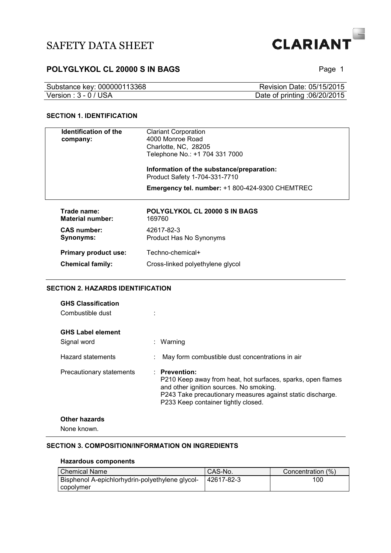

## **POLYGLYKOL CL 20000 S IN BAGS POLYGLYKOL CL 20000 S IN BAGS**

| Substance key: 000000113368 | Revision Date: 05/15/2015    |
|-----------------------------|------------------------------|
| Version: 3 - 0 / USA        | Date of printing :06/20/2015 |

#### **SECTION 1. IDENTIFICATION**

| <b>Identification of the</b>           | <b>Clariant Corporation</b>                                                |
|----------------------------------------|----------------------------------------------------------------------------|
| company:                               | 4000 Monroe Road                                                           |
|                                        | Charlotte, NC, 28205                                                       |
|                                        | Telephone No.: +1 704 331 7000                                             |
|                                        | Information of the substance/preparation:<br>Product Safety 1-704-331-7710 |
|                                        | <b>Emergency tel. number: +1 800-424-9300 CHEMTREC</b>                     |
| Trade name:<br><b>Material number:</b> | POLYGLYKOL CL 20000 S IN BAGS<br>169760                                    |
| <b>CAS number:</b><br>Synonyms:        | 42617-82-3<br>Product Has No Synonyms                                      |
| Primary product use:                   | Techno-chemical+                                                           |

#### **SECTION 2. HAZARDS IDENTIFICATION**

| <b>GHS Classification</b><br>Combustible dust |                                                                                                                                                                                                                              |
|-----------------------------------------------|------------------------------------------------------------------------------------------------------------------------------------------------------------------------------------------------------------------------------|
| <b>GHS Label element</b><br>Signal word       | : Warning                                                                                                                                                                                                                    |
| Hazard statements                             | May form combustible dust concentrations in air                                                                                                                                                                              |
| Precautionary statements                      | : Prevention:<br>P210 Keep away from heat, hot surfaces, sparks, open flames<br>and other ignition sources. No smoking.<br>P243 Take precautionary measures against static discharge.<br>P233 Keep container tightly closed. |
| Other hazards<br>None known.                  |                                                                                                                                                                                                                              |
|                                               |                                                                                                                                                                                                                              |

#### **SECTION 3. COMPOSITION/INFORMATION ON INGREDIENTS**

**Chemical family:** Cross-linked polyethylene glycol

#### **Hazardous components**

| l Chemical Name                                 | <sup>1</sup> CAS-No. | Concentration (%) |
|-------------------------------------------------|----------------------|-------------------|
| Bisphenol A-epichlorhydrin-polyethylene glycol- | 42617-82-3           | 100               |
| copolymer                                       |                      |                   |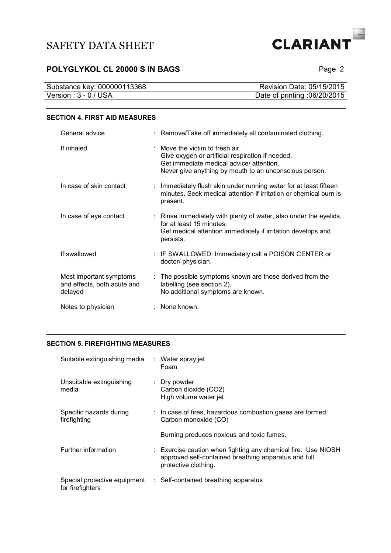

## **POLYGLYKOL CL 20000 S IN BAGS** Page 2

| Substance key: 000000113368 | Revision Date: 05/15/2015    |
|-----------------------------|------------------------------|
| Version : $3 - 0$ / USA     | Date of printing :06/20/2015 |

#### **SECTION 4. FIRST AID MEASURES**

| General advice                                                    | : Remove/Take off immediately all contaminated clothing.                                                                                                                                            |
|-------------------------------------------------------------------|-----------------------------------------------------------------------------------------------------------------------------------------------------------------------------------------------------|
| If inhaled                                                        | $\therefore$ Move the victim to fresh air.<br>Give oxygen or artificial respiration if needed.<br>Get immediate medical advice/attention.<br>Never give anything by mouth to an unconscious person. |
| In case of skin contact                                           | : Immediately flush skin under running water for at least fifteen<br>minutes. Seek medical attention if irritation or chemical burn is<br>present.                                                  |
| In case of eye contact                                            | : Rinse immediately with plenty of water, also under the eyelids,<br>for at least 15 minutes.<br>Get medical attention immediately if irritation develops and<br>persists.                          |
| If swallowed                                                      | : IF SWALLOWED: Immediately call a POISON CENTER or<br>doctor/ physician.                                                                                                                           |
| Most important symptoms<br>and effects, both acute and<br>delayed | : The possible symptoms known are those derived from the<br>labelling (see section 2).<br>No additional symptoms are known.                                                                         |
| Notes to physician                                                | : None known.                                                                                                                                                                                       |

#### **SECTION 5. FIREFIGHTING MEASURES**

| Suitable extinguishing media            | : Water spray jet<br>Foam                                                                                                                     |
|-----------------------------------------|-----------------------------------------------------------------------------------------------------------------------------------------------|
| Unsuitable extinguishing<br>media       | $\therefore$ Dry powder<br>Carbon dioxide (CO2)<br>High volume water jet                                                                      |
| Specific hazards during<br>firefighting | : In case of fires, hazardous combustion gases are formed:<br>Carbon monoxide (CO)                                                            |
|                                         | Burning produces noxious and toxic fumes.                                                                                                     |
| Further information                     | : Exercise caution when fighting any chemical fire. Use NIOSH<br>approved self-contained breathing apparatus and full<br>protective clothing. |
| for firefighters                        | Special protective equipment : Self-contained breathing apparatus                                                                             |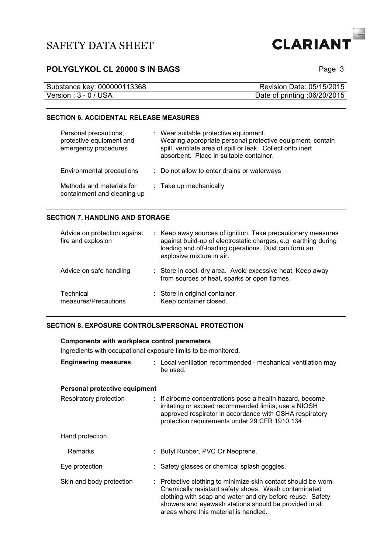

## **POLYGLYKOL CL 20000 S IN BAGS POLYGLYKOL CL 20000 S IN BAGS**

| Substance key: 000000113368 | Revision Date: 05/15/2015    |
|-----------------------------|------------------------------|
| Version : 3 - 0 / USA       | Date of printing :06/20/2015 |

#### **SECTION 6. ACCIDENTAL RELEASE MEASURES**

| Personal precautions,<br>protective equipment and<br>emergency procedures | : Wear suitable protective equipment.<br>Wearing appropriate personal protective equipment, contain<br>spill, ventilate area of spill or leak. Collect onto inert<br>absorbent. Place in suitable container. |
|---------------------------------------------------------------------------|--------------------------------------------------------------------------------------------------------------------------------------------------------------------------------------------------------------|
| Environmental precautions                                                 | : Do not allow to enter drains or waterways                                                                                                                                                                  |
| Methods and materials for<br>containment and cleaning up                  | : Take up mechanically                                                                                                                                                                                       |

#### **SECTION 7. HANDLING AND STORAGE**

| Advice on protection against<br>fire and explosion | : Keep away sources of ignition. Take precautionary measures<br>against build-up of electrostatic charges, e.g earthing during<br>loading and off-loading operations. Dust can form an<br>explosive mixture in air. |
|----------------------------------------------------|---------------------------------------------------------------------------------------------------------------------------------------------------------------------------------------------------------------------|
| Advice on safe handling                            | : Store in cool, dry area. Avoid excessive heat. Keep away<br>from sources of heat, sparks or open flames.                                                                                                          |
| Technical<br>measures/Precautions                  | : Store in original container.<br>Keep container closed.                                                                                                                                                            |

#### **SECTION 8. EXPOSURE CONTROLS/PERSONAL PROTECTION**

#### **Components with workplace control parameters**

Ingredients with occupational exposure limits to be monitored.

| <b>Engineering measures</b> | : Local ventilation recommended - mechanical ventilation may |
|-----------------------------|--------------------------------------------------------------|
|                             | be used.                                                     |

#### **Personal protective equipment**

| Respiratory protection   | : If airborne concentrations pose a health hazard, become<br>irritating or exceed recommended limits, use a NIOSH<br>approved respirator in accordance with OSHA respiratory<br>protection requirements under 29 CFR 1910.134                                                          |
|--------------------------|----------------------------------------------------------------------------------------------------------------------------------------------------------------------------------------------------------------------------------------------------------------------------------------|
| Hand protection          |                                                                                                                                                                                                                                                                                        |
| Remarks                  | : Butyl Rubber, PVC Or Neoprene.                                                                                                                                                                                                                                                       |
| Eye protection           | : Safety glasses or chemical splash goggles.                                                                                                                                                                                                                                           |
| Skin and body protection | : Protective clothing to minimize skin contact should be worn.<br>Chemically resistant safety shoes. Wash contaminated<br>clothing with soap and water and dry before reuse. Safety<br>showers and eyewash stations should be provided in all<br>areas where this material is handled. |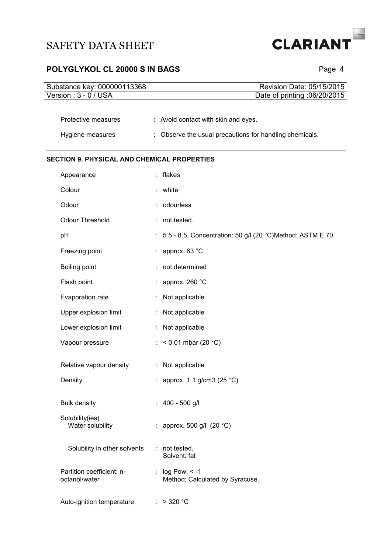

# POLYGLYKOL CL 20000 S IN BAGS **POLYGLYKOL CL 20000 S IN BAGS**

| Substance key: 000000113368                        | Revision Date: 05/15/2015                                                                      |
|----------------------------------------------------|------------------------------------------------------------------------------------------------|
| Version: 3 - 0 / USA                               | Date of printing :06/20/2015                                                                   |
| Protective measures<br>Hygiene measures            | : Avoid contact with skin and eyes.<br>: Observe the usual precautions for handling chemicals. |
|                                                    |                                                                                                |
| <b>SECTION 9. PHYSICAL AND CHEMICAL PROPERTIES</b> |                                                                                                |
| Appearance                                         | : flakes                                                                                       |
| Colour                                             | white                                                                                          |
| Odour                                              | odourless                                                                                      |
| Odour Threshold                                    | not tested.                                                                                    |
| pH                                                 | : 5.5 - 8.5, Concentration: 50 g/l (20 °C)Method: ASTM E 70                                    |
| Freezing point                                     | approx. 63 °C                                                                                  |
| Boiling point                                      | not determined                                                                                 |
| Flash point                                        | : approx. 260 $^{\circ}$ C                                                                     |
| Evaporation rate                                   | Not applicable                                                                                 |
| Upper explosion limit                              | Not applicable                                                                                 |
| Lower explosion limit                              | : Not applicable                                                                               |
| Vapour pressure                                    | : < $0.01$ mbar (20 °C)                                                                        |
| Relative vapour density                            | Not applicable<br>÷                                                                            |
|                                                    |                                                                                                |
| Density                                            | : approx. 1.1 g/cm3 (25 °C)                                                                    |
| <b>Bulk density</b>                                | : $400 - 500$ g/l                                                                              |
| Solubility(ies)<br>Water solubility                | : approx. 500 g/l $(20 °C)$                                                                    |
| Solubility in other solvents                       | : not tested.<br>Solvent: fat                                                                  |
| Partition coefficient: n-<br>octanol/water         | : $log Pow: < -1$<br>Method: Calculated by Syracuse.                                           |
| Auto-ignition temperature                          | $>$ 320 $^{\circ}$ C                                                                           |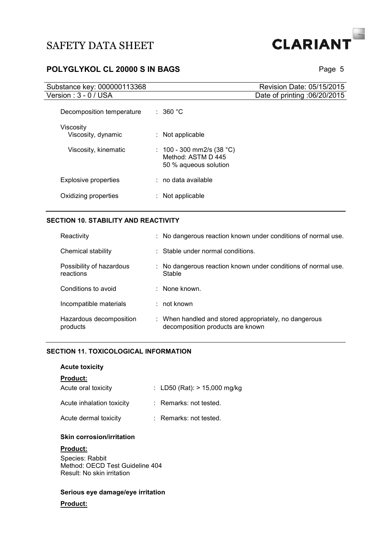

## **POLYGLYKOL CL 20000 S IN BAGS POLYGLYKOL CL 20000 S IN BAGS**

| Substance key: 000000113368     |                                                                          | Revision Date: 05/15/2015    |
|---------------------------------|--------------------------------------------------------------------------|------------------------------|
| Version: 3 - 0 / USA            |                                                                          | Date of printing :06/20/2015 |
| Decomposition temperature       | : 360 °C                                                                 |                              |
| Viscosity<br>Viscosity, dynamic | $:$ Not applicable                                                       |                              |
| Viscosity, kinematic            | : 100 - 300 mm2/s (38 °C)<br>Method: ASTM D 445<br>50 % aqueous solution |                              |
| Explosive properties            | $:$ no data available                                                    |                              |
| Oxidizing properties            | Not applicable                                                           |                              |

#### **SECTION 10. STABILITY AND REACTIVITY**

| Reactivity                            | : No dangerous reaction known under conditions of normal use.                             |
|---------------------------------------|-------------------------------------------------------------------------------------------|
| Chemical stability                    | : Stable under normal conditions.                                                         |
| Possibility of hazardous<br>reactions | : No dangerous reaction known under conditions of normal use.<br>Stable                   |
| Conditions to avoid                   | $\therefore$ None known.                                                                  |
| Incompatible materials                | $:$ not known                                                                             |
| Hazardous decomposition<br>products   | : When handled and stored appropriately, no dangerous<br>decomposition products are known |

#### **SECTION 11. TOXICOLOGICAL INFORMATION**

#### **Acute toxicity**

#### **Product:**

| Acute oral toxicity       | : LD50 (Rat): $> 15,000$ mg/kg |
|---------------------------|--------------------------------|
| Acute inhalation toxicity | $:$ Remarks: not tested.       |
| Acute dermal toxicity     | : Remarks: not tested.         |

#### **Skin corrosion/irritation**

#### **Product:**

Species: Rabbit Method: OECD Test Guideline 404 Result: No skin irritation

#### **Serious eye damage/eye irritation**

#### **Product:**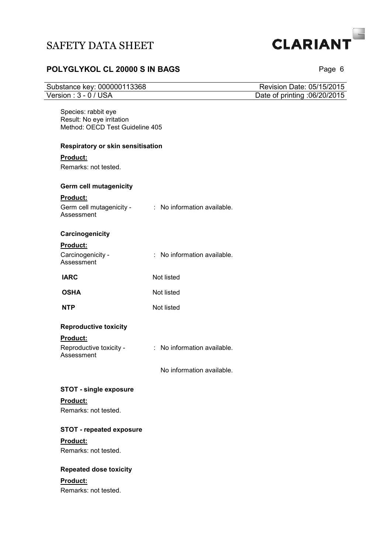# **CLARIANT**

# **POLYGLYKOL CL 20000 S IN BAGS** Page 6

| Substance key: 000000113368                                                         |                             | Revision Date: 05/15/2015    |
|-------------------------------------------------------------------------------------|-----------------------------|------------------------------|
| Version: 3 - 0 / USA                                                                |                             | Date of printing :06/20/2015 |
| Species: rabbit eye<br>Result: No eye irritation<br>Method: OECD Test Guideline 405 |                             |                              |
| Respiratory or skin sensitisation                                                   |                             |                              |
| <b>Product:</b>                                                                     |                             |                              |
| Remarks: not tested.                                                                |                             |                              |
| Germ cell mutagenicity                                                              |                             |                              |
| <b>Product:</b>                                                                     |                             |                              |
| Germ cell mutagenicity - : No information available.<br>Assessment                  |                             |                              |
| Carcinogenicity                                                                     |                             |                              |
| Product:                                                                            |                             |                              |
| Carcinogenicity -<br>Assessment                                                     | : No information available. |                              |
| <b>IARC</b>                                                                         | Not listed                  |                              |
| <b>OSHA</b>                                                                         | Not listed                  |                              |
| <b>NTP</b>                                                                          | Not listed                  |                              |
| <b>Reproductive toxicity</b>                                                        |                             |                              |
| <b>Product:</b>                                                                     |                             |                              |
| Reproductive toxicity -<br>Assessment                                               | : No information available. |                              |
|                                                                                     | No information available.   |                              |
| <b>STOT - single exposure</b>                                                       |                             |                              |
| Product:                                                                            |                             |                              |
| Remarks: not tested.                                                                |                             |                              |
| <b>STOT - repeated exposure</b>                                                     |                             |                              |
| Product:                                                                            |                             |                              |
| Remarks: not tested.                                                                |                             |                              |
| <b>Repeated dose toxicity</b>                                                       |                             |                              |
| <b>Product:</b>                                                                     |                             |                              |
| Remarks: not tested.                                                                |                             |                              |
|                                                                                     |                             |                              |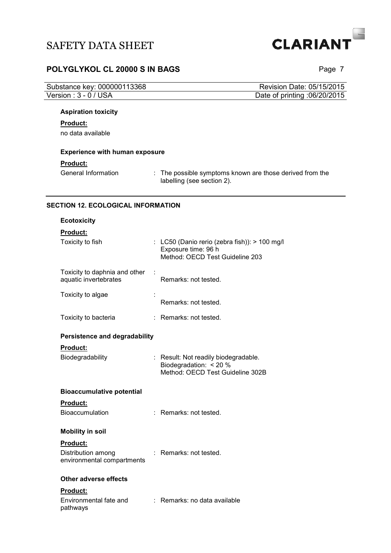

## **POLYGLYKOL CL 20000 S IN BAGS POLYGLYKOL CL 20000 S IN BAGS**

| Substance key: 000000113368 | Revision Date: 05/15/2015    |
|-----------------------------|------------------------------|
| Version : $3 - 0$ / USA     | Date of printing :06/20/2015 |
|                             |                              |

## **Aspiration toxicity**

#### **Product:**

no data available

#### **Experience with human exposure**

#### **Product:**

General Information : The possible symptoms known are those derived from the labelling (see section 2).

#### **SECTION 12. ECOLOGICAL INFORMATION**

| <b>Ecotoxicity</b>                                                  |                                                                                                         |
|---------------------------------------------------------------------|---------------------------------------------------------------------------------------------------------|
| <b>Product:</b>                                                     |                                                                                                         |
| Toxicity to fish                                                    | : LC50 (Danio rerio (zebra fish)): > 100 mg/l<br>Exposure time: 96 h<br>Method: OECD Test Guideline 203 |
| Toxicity to daphnia and other<br>÷<br>aquatic invertebrates         | Remarks: not tested.                                                                                    |
| Toxicity to algae                                                   | Remarks: not tested.                                                                                    |
| Toxicity to bacteria                                                | : Remarks: not tested.                                                                                  |
| <b>Persistence and degradability</b>                                |                                                                                                         |
| <b>Product:</b><br>Biodegradability                                 | : Result: Not readily biodegradable.<br>Biodegradation: < 20 %<br>Method: OECD Test Guideline 302B      |
| <b>Bioaccumulative potential</b>                                    |                                                                                                         |
| <b>Product:</b><br>Bioaccumulation                                  | : Remarks: not tested.                                                                                  |
| <b>Mobility in soil</b>                                             |                                                                                                         |
| <b>Product:</b><br>Distribution among<br>environmental compartments | : Remarks: not tested.                                                                                  |
| <b>Other adverse effects</b>                                        |                                                                                                         |
| Product:                                                            |                                                                                                         |
| Environmental fate and<br>pathways                                  | : Remarks: no data available                                                                            |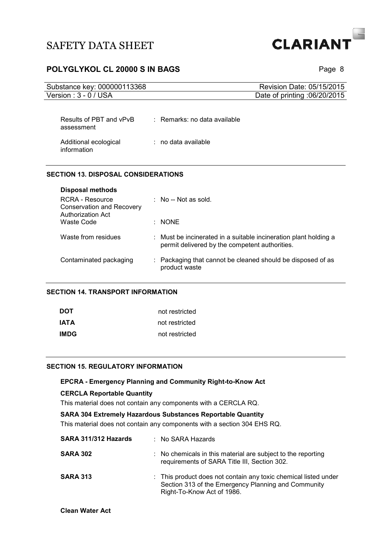

## **POLYGLYKOL CL 20000 S IN BAGS POLYGLYKOL CL 20000 S IN BAGS**

| Substance key: 000000113368           |                                         | Revision Date: 05/15/2015    |
|---------------------------------------|-----------------------------------------|------------------------------|
| Version: 3 - 0 / USA                  |                                         | Date of printing :06/20/2015 |
| Results of PBT and vPvB<br>assessment | $\therefore$ Remarks: no data available |                              |
| Additional ecological<br>information  | $\therefore$ no data available.         |                              |

#### **SECTION 13. DISPOSAL CONSIDERATIONS**

| <b>Disposal methods</b><br>RCRA - Resource<br><b>Conservation and Recovery</b> | $:$ No -- Not as sold.                                                                                             |
|--------------------------------------------------------------------------------|--------------------------------------------------------------------------------------------------------------------|
| <b>Authorization Act</b><br>Waste Code                                         | : NONE                                                                                                             |
| Waste from residues                                                            | : Must be incinerated in a suitable incineration plant holding a<br>permit delivered by the competent authorities. |
| Contaminated packaging                                                         | : Packaging that cannot be cleaned should be disposed of as<br>product waste                                       |

#### **SECTION 14. TRANSPORT INFORMATION**

| DOT  | not restricted |
|------|----------------|
| IATA | not restricted |
| IMDG | not restricted |

#### **SECTION 15. REGULATORY INFORMATION**

## **EPCRA - Emergency Planning and Community Right-to-Know Act CERCLA Reportable Quantity**  This material does not contain any components with a CERCLA RQ. **SARA 304 Extremely Hazardous Substances Reportable Quantity**

This material does not contain any components with a section 304 EHS RQ.

| SARA 311/312 Hazards | $:$ No SARA Hazards                                                                                                                                  |
|----------------------|------------------------------------------------------------------------------------------------------------------------------------------------------|
| <b>SARA 302</b>      | : No chemicals in this material are subject to the reporting<br>requirements of SARA Title III, Section 302.                                         |
| <b>SARA 313</b>      | : This product does not contain any toxic chemical listed under<br>Section 313 of the Emergency Planning and Community<br>Right-To-Know Act of 1986. |